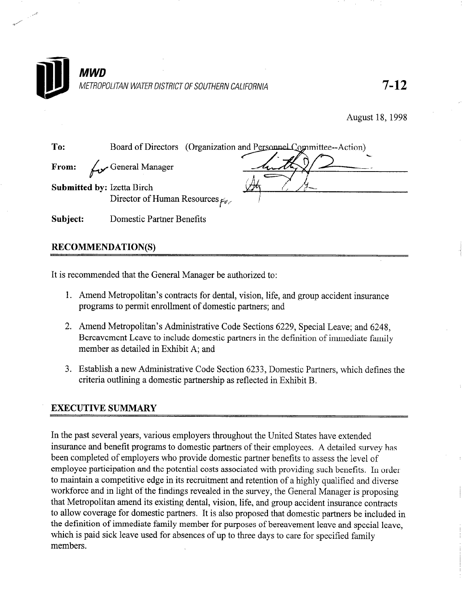

August 18, 1998

To: Board of Directors (Organization and Personnel Committee--Action) From:  $\swarrow$  General Manager Submitted by: Izetta Birch Director of Human Resources  $_{f\mathscr{A},\varphi}$ Subject: Domestic Partner Benefits

#### RECOMMENDATION(S)

It is recommended that the General Manager be authorized to:

- 1. Amend Metropolitan's contracts for dental, vision, life, and group accident insurance programs to permit enrollment of domestic partners; and
- 2. Amend Metropolitan's Administrative Code Sections 6229, Special Leave; and 6248, Bereavement Leave to include domestic partners in the definition of immediate family member as detailed in Exhibit A; and
- 3. Establish a new Administrative Code Section 6233, Domestic Partners, which defines the criteria outlining a domestic partnership as reflected in Exhibit B.

#### EXECUTIVE SUMMARY

In the past several years, various employers throughout the United States have extended insurance and benefit programs to domestic partners of their employees. A detailed survey has been completed of employers who provide domestic partner benefits to assess the level of employee participation and the potential costs associated with providing such benefits. In order to maintain a competitive edge in its recruitment and retention of a highly qualified and diverse workforce and in light of the findings revealed in the survey, the General Manager is proposing that Metropolitan amend its existing dental, vision, life, and group accident insurance contracts to allow coverage for domestic partners. It is also proposed that domestic partners be included in the definition of immediate family member for purposes of bereavement leave and special leave, which is paid sick leave used for absences of up to three days to care for specified family members.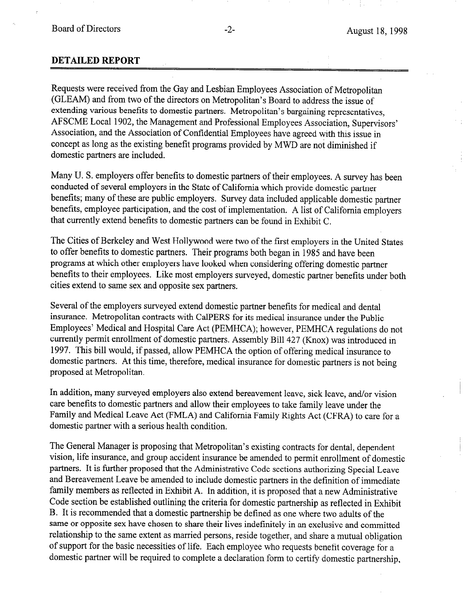#### DETAILED REPORT

Requests were received from the Gay and Lesbian Employees Association of Metropolitan (GLEAM) and from two of the directors on Metropolitan's Board to address the issue of extending various benefits to domestic partners. Metropolitan's bargaining representatives, AFSCME Local 1902, the Management and Professional Employees Association, Supervisors' Association, and the Association of Confidential Employees have agreed with this issue in concept as long as the existing benefit programs provided by MWD are not diminished if domestic partners are included.

Many U. S. employers offer benefits to domestic partners of their employees. A survey has been conducted of several employers in the State of California which provide domestic partner benefits; many of these are public employers. Survey data included applicable domestic partner benefits, employee participation, and the cost of implementation. A list of California employers that currently extend benefits to domestic partners can be found in Exhibit C.

The Cities of Berkeley and West Hollywood were two of the first employers in the United States to offer benefits to domestic partners. Their programs both began in 1985 and have been programs at which other employers have looked when considering offering domestic partner benefits to their employees. Like most employers surveyed, domestic partner benefits under both cities extend to same sex and opposite sex partners.

Several of the employers surveyed extend domestic partner benefits for medical and dental insurance. Metropolitan contracts with CalPERS for its medical insurance under the Public Employees' Medical and Hospital Care Act (PEMHCA); however, PEMHCA regulations do not currently permit enrollment of domestic partners. Assembly Bill 427 (Knox) was introduced in 1997. This bill would, if passed, allow PEMHCA the option of offering medical insurance to domestic partners. At this time, therefore, medical insurance for domestic partners is not being proposed at Metropolitan.

In addition, many surveyed employers also extend bereavement leave, sick leave, and/or vision care benefits to domestic partners and allow their employees to take family leave under the Family and Medical Leave Act (FMLA) and California Family Rights Act (CFRA) to care for a domestic partner with a serious health condition.

The General Manager is proposing that Metropolitan's existing contracts for dental, dependent vision, life insurance, and group accident insurance be amended to permit enrollment of domestic partners. It is further proposed that the Administrative Code sections authorizing Special Leave and Bereavement Leave be amended to include domestic partners in the definition of immediate family members as reflected in Exhibit A. In addition, it is proposed that a new Administrative Code section be established outlining the criteria for domestic partnership as reflected in Exhibit B. It is recommended that a domestic partnership be defined as one where two adults of the same or opposite sex have chosen to share their lives indefinitely in an exclusive and committed relationship to the same extent as married persons, reside together, and share a mutual obligation of support for the basic necessities of life. Each employee who requests benefit coverage for a domestic partner will be required to complete a declaration form to certify domestic partnership,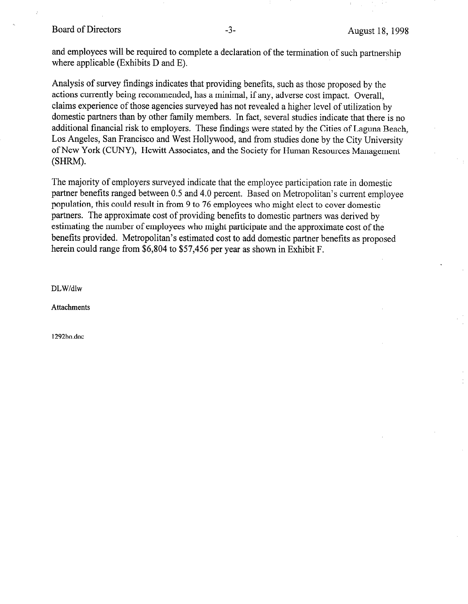#### Board of Directors -3- August 18, 1998

and employees will be required to complete a declaration of the termination of such partnership where applicable (Exhibits D and E).

Analysis of survey findings indicates that providing benefits, such as those proposed by the actions currently being recommended, has a minimal, if any, adverse cost impact. Overall, claims experience of those agencies surveyed has not revealed a higher level of utilization by domestic partners than by other family members. In fact, several studies indicate that there is no additional financial risk to employers. These findings were stated by the Cities of Laguna Beach, Los Angeles, San Francisco and West Hollywood, and from studies done by the City University of New York (CUNY), Hewitt Associates, and the Society for Human Resources Management (SHRM).

The majority of employers surveyed indicate that the employee participation rate in domestic partner benefits ranged between 0.5 and 4.0 percent. Based on Metropolitan's current employee population, this could result in from 9 to 76 employees who might elect to cover domestic partners. The approximate cost of providing benefits to domestic partners was derived by estimating the number of employees who might participate and the approximate cost of the benefits provided. Metropolitan's estimated cost to add domestic partner benefits as proposed herein could range from \$6,804 to \$57,456 per year as shown in Exhibit F.

DLW/dlw

Attachments

1292bo.doc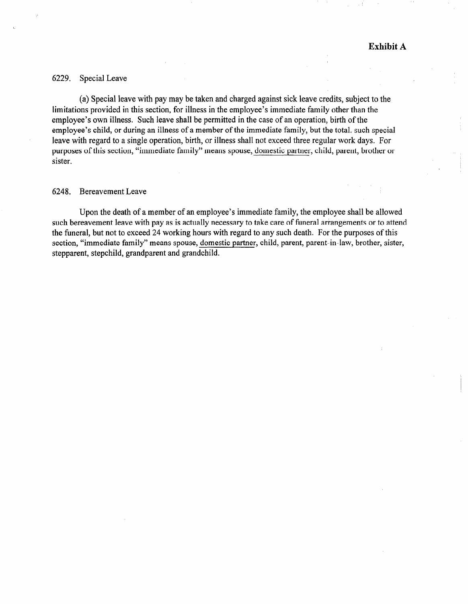#### 6229. Special Leave

(a) Special leave with pay may be taken and charged against sick leave credits, subject to the limitations provided in this section, for illness in the employee's immediate family other than the employee's own illness. Such leave shall be permitted in the case of an operation, birth of the employee's child, or during an illness of a member of the immediate family, but the total. such special leave with regard to a single operation, birth, or illness shall not exceed three regular work days. For purposes of this section, "immediate family" means spouse, domestic partner, child, parent, brother or sister.

#### 6248. Bereavement Leave

Upon the death of a member of an employee's immediate family, the employee shall be allowed such bereavement leave with pay as is actually necessary to take care of funeral arrangements or to attend the funeral, but not to exceed 24 working hours with regard to any such death. For the purposes of this section, "immediate family" means spouse, domestic partner, child, parent, parent-in-law, brother, sister, stepparent, stepchild, grandparent and grandchild.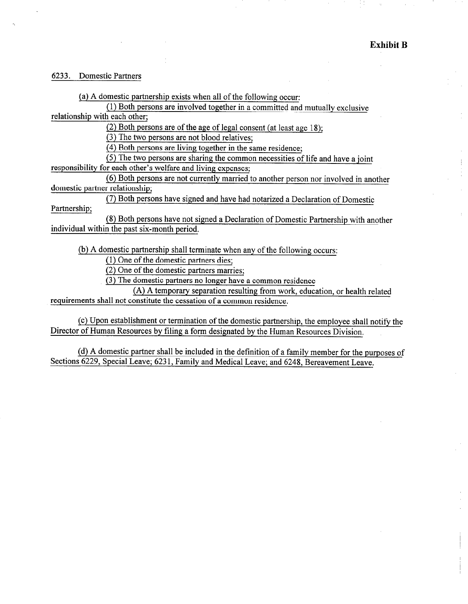#### 6233. Domestic Partners

(a) A domestic partnership exists when all of the following occur:

(1) Both persons are involved together in a committed and mutually exclusive relationship with each other;

(2) Both persons are of the age of legal consent (at least age 18);

(3) The two persons are not blood relatives;

(4) Both persons are living together in the same residence;

(5) The two persons are sharing the common necessities of life and have a joint

responsibility for each other's welfare and living expenses;

(6) Both persons are not currently married to another person nor involved in another domestic partner relationship;

Partnership; (7) Both persons have signed and have had notarized a Declaration of Domestic

(8) Both persons have not signed a Declaration of Domestic Partnership with another individual within the past six-month period.

(b) A domestic partnership shall terminate when any of the following occurs:

(1) One of the domestic partners dies;

(2) One of the domestic partners marries;

(3) The domestic partners no longer have a common residence

(A) A temporary separation resulting from work, education, or health related requirements shall not constitute the cessation of a common residence.

(c) Upon establishment or termination of the domestic partnership, the employee shall notify the Director of Human Resources by filing a form designated by the Human Resources Division,

(d) A domestic partner shall be included in the definition of a family member for the purposes of Sections 6229, Special Leave; 623 1, Family and Medical Leave; and 6248, Bereavement Leave.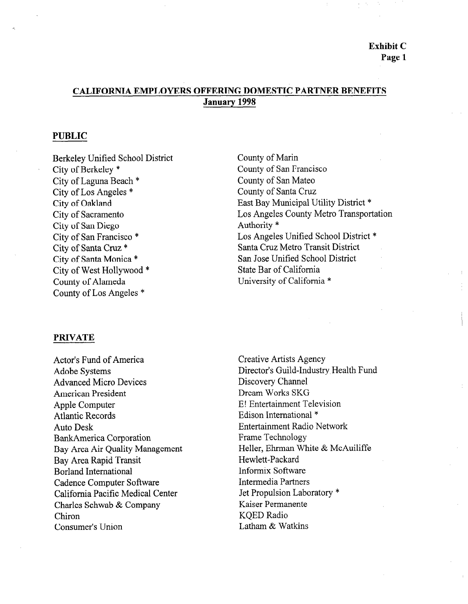#### CALIFORNIA EMPLOYERS OFFERING DOMESTIC PARTNER BENEFITS January 1998

#### PUBLIC

Berkeley Unified School District City of Berkeley \* City of Laguna Beach \* City of Los Angeles \* City of Oakland City of Sacramento City of San Diego City of San Francisco \* City of Santa Cruz \* City of Santa Monica \* City of West Hollywood \* County of Alameda County of Los Angeles \*

County of Marin County of San Francisco County of San Mateo County of Santa Cruz East Bay Municipal Utility District \* Los Angeles County Metro Transportation Authority \* Los Angeles Unified School District \* Santa Cruz Metro Transit District San Jose Unified School District State Bar of California University of California \*

#### PRIVATE

Actor's Fund of America Acture Systems Adobe Systems Advanced Micro Devices American President Apple Computer Atlantic Records Auto Desk Bank America Corporation Bay Area Air Quality Management Bay Area Rapid Transit Borland International Cadence Computer Software California Pacific Medical Center Charles Schwab & Company Chiron Consumer's Union

Creative Artists Agency  $C$ Icalive Alusis Agency Director's Guild-Industry Health Fund Discovery Channel Dream Works SKG E! Entertainment Television Edison International \* Entertainment Radio Network Frame Technology Heller, Ehrman White & McAuiliffe Hewlett-Packard Informix Software Intermedia Partners Jet Propulsion Laboratory \* Kaiser Permanente KOED Radio Latham & Watkins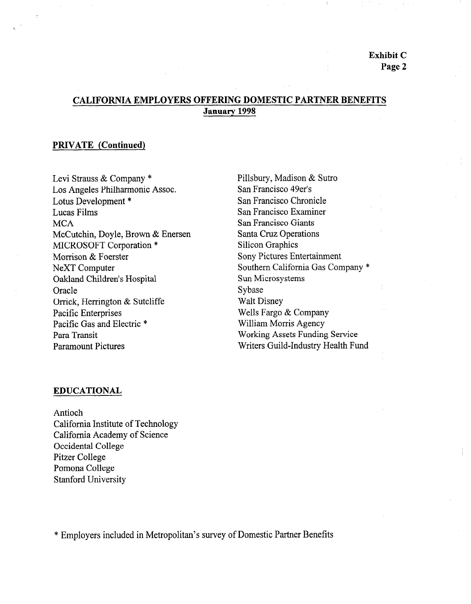Exhibit C Page 2

#### CALIFORNIA EMPLOYERS OFFERING DOMESTIC PARTNER BENEFITS January 1998

#### PRIVATE (Continued)

Levi Strauss & Company \* Los Angeles Philharmonic Assoc. Lotus Development \* Lucas Films **MCA** McCutchin, Doyle, Brown & Enersen MICROSOFT Corporation \* Morrison & Foerster NeXT Computer Oakland Children's Hospital **Oracle** Orrick, Herrington & Sutcliffe Pacific Enterprises Pacific Gas and Electric \* Para Transit Paramount Pictures

Pillsbury, Madison & Sutro San Francisco 49er's San Francisco Chronicle San Francisco Examiner San Francisco Giants Santa Cruz Operations Silicon Graphics Sony Pictures Entertainment Southern California Gas Company \* Sun Microsystems Sybase Walt Disney Wells Fargo & Company William Morris Agency Working Assets Funding Service Writers Guild-Industry Health Fund

#### EDUCATIONAL

Antioch California Institute of Technology California Histitute of Technolo California Academy of Science Occidental College Pitzer College Pomona College<br>Stanford University

\* Employers included in Metropolitan's survey of Domestic Partner Benefits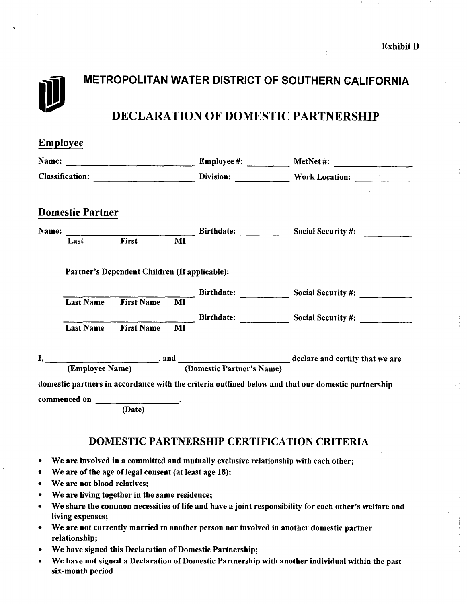# METROPOLITAN WATER DISTRICT OF SOUTHERN CALIFORNIA DECLARATION OF DOMESTIC PARTNERSHIP

| <b>Employee</b> |                                                       |                                               |    |  |                                                                                                    |  |  |
|-----------------|-------------------------------------------------------|-----------------------------------------------|----|--|----------------------------------------------------------------------------------------------------|--|--|
|                 |                                                       |                                               |    |  | Name: <u>December 2008</u> Employee #: <u>December 2008</u> MetNet #: 2008 MetNet #: 2008          |  |  |
|                 |                                                       |                                               |    |  |                                                                                                    |  |  |
|                 | <b>Domestic Partner</b>                               |                                               |    |  |                                                                                                    |  |  |
| Name:           |                                                       |                                               |    |  | Birthdate: Social Security #:                                                                      |  |  |
|                 | Last                                                  | First                                         | MI |  |                                                                                                    |  |  |
|                 |                                                       | Partner's Dependent Children (If applicable): |    |  |                                                                                                    |  |  |
|                 |                                                       |                                               |    |  | Birthdate: Social Security #:                                                                      |  |  |
|                 | <b>Last Name</b>                                      | <b>First Name</b>                             | MI |  |                                                                                                    |  |  |
|                 | <b>Last Name</b>                                      | <b>First Name</b>                             | MI |  | Birthdate: Social Security #:                                                                      |  |  |
|                 |                                                       |                                               |    |  | I, <u>Chaployee Name</u> end Comestic Partner's Name declare and certify that we are               |  |  |
|                 |                                                       |                                               |    |  | domestic partners in accordance with the criteria outlined below and that our domestic partnership |  |  |
|                 |                                                       |                                               |    |  |                                                                                                    |  |  |
|                 |                                                       | (Date)                                        |    |  |                                                                                                    |  |  |
|                 |                                                       |                                               |    |  | <b>DOMESTIC PARTNERSHIP CERTIFICATION CRITERIA</b>                                                 |  |  |
| $\bullet$       |                                                       |                                               |    |  | We are involved in a committed and mutually exclusive relationship with each other;                |  |  |
| $\bullet$       | We are of the age of legal consent (at least age 18); |                                               |    |  |                                                                                                    |  |  |
| $\bullet$       | We are not blood relatives;                           |                                               |    |  |                                                                                                    |  |  |
| $\bullet$       |                                                       | We are living together in the same residence; |    |  |                                                                                                    |  |  |

- We share the common necessities of life and have a joint responsibility for each other's welfare and  $\bullet$ living expenses;
- We are not currently married to another person nor involved in another domestic partner relationship;
- We have signed this Declaration of Domestic Partnership;  $\bullet$
- We have not signed a Declaration of Domestic Partnership with another individual within the past  $\bullet$ six-month period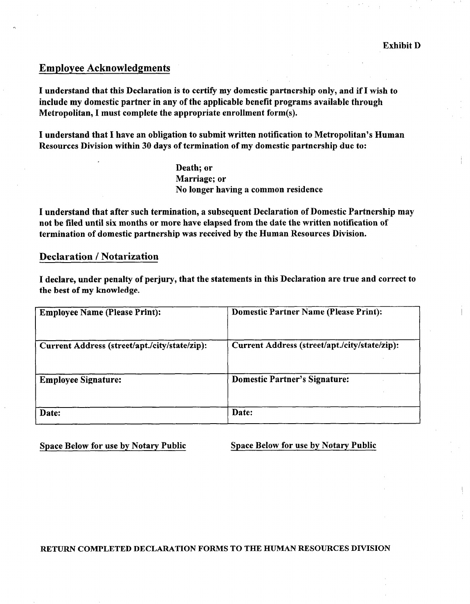#### Employee Acknowledgments

I understand that this Declaration is to certify my domestic partnership only, and if I wish to include my domestic partner in any of the applicable benefit programs available through Metropolitan, I must complete the appropriate enrollment form(s).

I understand that I have an obligation to submit written notification to Metropolitan's Human Resources Division within 30 days of termination of my domestic partnership due to:

> Death; or Marriage; or No longer having a common residence

I understand that after such termination, a subsequent Declaration of Domestic Partnership may not be filed until six months or more have elapsed from the date the written notification of termination of domestic partnership was received by the Human Resources Division.

#### Declaration / Notarization

I declare, under penalty of perjury, that the statements in this Declaration are true and correct to the best of my knowledge.

| <b>Employee Name (Please Print):</b>          | <b>Domestic Partner Name (Please Print):</b>  |
|-----------------------------------------------|-----------------------------------------------|
| Current Address (street/apt./city/state/zip): | Current Address (street/apt./city/state/zip): |
| <b>Employee Signature:</b>                    | <b>Domestic Partner's Signature:</b>          |
| Date:                                         | Date:                                         |

Space Below for use by Notary Public Space Below for use by Notary Public

RETURN COMPLETED DECLARATION FORMS TO THE BUMAN RESOURCES DIVISION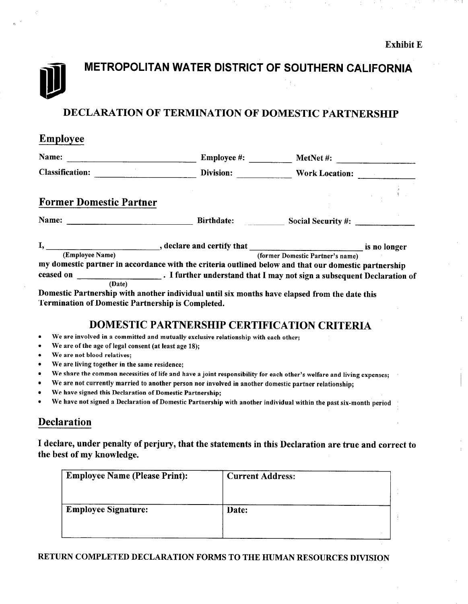# METROPOLITAN WATER DISTRICT OF SOUTHERN CALIFORNIA

### DECLARATION OF TERMINATION OF DOMESTIC PARTNERSHIP

| <b>Employee</b>                                          |                                                                                                       |                                  |  |
|----------------------------------------------------------|-------------------------------------------------------------------------------------------------------|----------------------------------|--|
| Name:                                                    | <b>Employee</b> #:                                                                                    | MetNet #: $\qquad \qquad$        |  |
| <b>Classification:</b>                                   | Division:                                                                                             | <b>Work Location:</b>            |  |
| <b>Former Domestic Partner</b>                           |                                                                                                       |                                  |  |
|                                                          |                                                                                                       | Birthdate: Social Security #:    |  |
|                                                          |                                                                                                       |                                  |  |
| (Employee Name)                                          | my domestic partner in accordance with the criteria outlined below and that our domestic partnership  | (former Domestic Partner's name) |  |
| (Date)                                                   | ceased on _____________________. I further understand that I may not sign a subsequent Declaration of |                                  |  |
| <b>Termination of Domestic Partnership is Completed.</b> | Domestic Partnership with another individual until six months have elapsed from the date this         |                                  |  |
|                                                          | <b>DOMESTIC PARTNERSHIP CERTIFICATION CRITERIA</b>                                                    |                                  |  |
| $\bullet$                                                | We are involved in a committed and mutually exclusive relationship with each other;                   |                                  |  |
| We are of the age of legal consent (at least age 18):    |                                                                                                       |                                  |  |

- We are not blood relatives;
- We are living together in the same residence;
- We share the common necessities of life and have a joint responsibility for each other's welfare and living expenses;
- We are not currently married to another person nor involved in another domestic partner relationship;
- We have signed this Declaration of Domestic Partnership;
- We have not signed a Declaration of Domestic Partnership with another individual within the past six-month period

#### Declaration

I declare, under penalty of perjury, that the statements in this Declaration are true and correct to the best of my knowledge.

| <b>Employee Name (Please Print):</b> | <b>Current Address:</b> |
|--------------------------------------|-------------------------|
| <b>Employee Signature:</b>           | Date:                   |
|                                      |                         |

#### RETURN COMPLETED DECLARATION FORMS TO THE HUMAN RESOURCES DIVISION